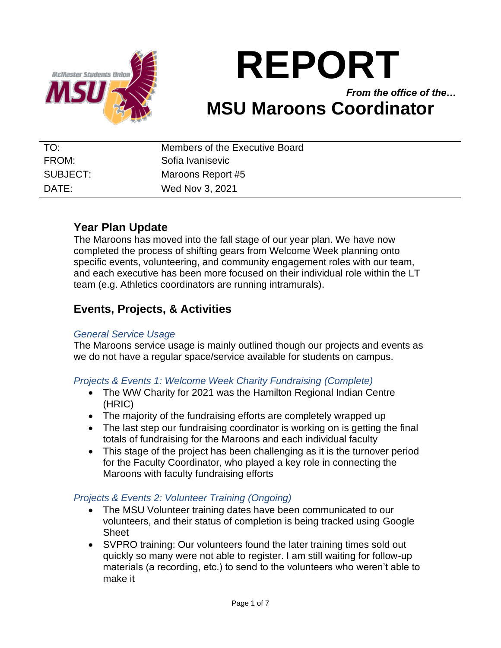

# **REPORT**

*From the office of the…* **MSU Maroons Coordinator**

| TO:      | Members of the Executive Board |
|----------|--------------------------------|
| FROM:    | Sofia Ivanisevic               |
| SUBJECT: | Maroons Report #5              |
| DATE:    | Wed Nov 3, 2021                |

# **Year Plan Update**

The Maroons has moved into the fall stage of our year plan. We have now completed the process of shifting gears from Welcome Week planning onto specific events, volunteering, and community engagement roles with our team, and each executive has been more focused on their individual role within the LT team (e.g. Athletics coordinators are running intramurals).

# **Events, Projects, & Activities**

### *General Service Usage*

The Maroons service usage is mainly outlined though our projects and events as we do not have a regular space/service available for students on campus.

## *Projects & Events 1: Welcome Week Charity Fundraising (Complete)*

- The WW Charity for 2021 was the Hamilton Regional Indian Centre (HRIC)
- The majority of the fundraising efforts are completely wrapped up
- The last step our fundraising coordinator is working on is getting the final totals of fundraising for the Maroons and each individual faculty
- This stage of the project has been challenging as it is the turnover period for the Faculty Coordinator, who played a key role in connecting the Maroons with faculty fundraising efforts

## *Projects & Events 2: Volunteer Training (Ongoing)*

- The MSU Volunteer training dates have been communicated to our volunteers, and their status of completion is being tracked using Google Sheet
- SVPRO training: Our volunteers found the later training times sold out quickly so many were not able to register. I am still waiting for follow-up materials (a recording, etc.) to send to the volunteers who weren't able to make it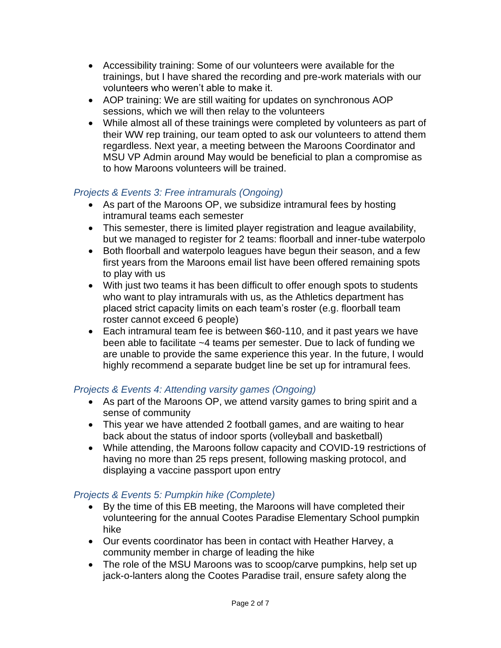- Accessibility training: Some of our volunteers were available for the trainings, but I have shared the recording and pre-work materials with our volunteers who weren't able to make it.
- AOP training: We are still waiting for updates on synchronous AOP sessions, which we will then relay to the volunteers
- While almost all of these trainings were completed by volunteers as part of their WW rep training, our team opted to ask our volunteers to attend them regardless. Next year, a meeting between the Maroons Coordinator and MSU VP Admin around May would be beneficial to plan a compromise as to how Maroons volunteers will be trained.

## *Projects & Events 3: Free intramurals (Ongoing)*

- As part of the Maroons OP, we subsidize intramural fees by hosting intramural teams each semester
- This semester, there is limited player registration and league availability, but we managed to register for 2 teams: floorball and inner-tube waterpolo
- Both floorball and waterpolo leagues have begun their season, and a few first years from the Maroons email list have been offered remaining spots to play with us
- With just two teams it has been difficult to offer enough spots to students who want to play intramurals with us, as the Athletics department has placed strict capacity limits on each team's roster (e.g. floorball team roster cannot exceed 6 people)
- Each intramural team fee is between \$60-110, and it past years we have been able to facilitate ~4 teams per semester. Due to lack of funding we are unable to provide the same experience this year. In the future, I would highly recommend a separate budget line be set up for intramural fees.

### *Projects & Events 4: Attending varsity games (Ongoing)*

- As part of the Maroons OP, we attend varsity games to bring spirit and a sense of community
- This year we have attended 2 football games, and are waiting to hear back about the status of indoor sports (volleyball and basketball)
- While attending, the Maroons follow capacity and COVID-19 restrictions of having no more than 25 reps present, following masking protocol, and displaying a vaccine passport upon entry

## *Projects & Events 5: Pumpkin hike (Complete)*

- By the time of this EB meeting, the Maroons will have completed their volunteering for the annual Cootes Paradise Elementary School pumpkin hike
- Our events coordinator has been in contact with Heather Harvey, a community member in charge of leading the hike
- The role of the MSU Maroons was to scoop/carve pumpkins, help set up jack-o-lanters along the Cootes Paradise trail, ensure safety along the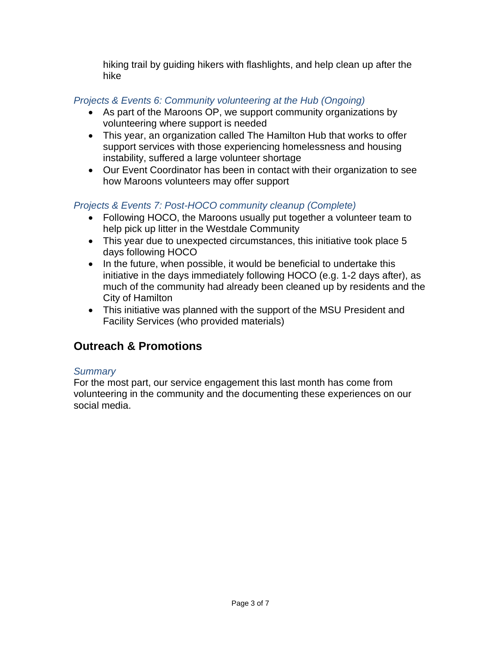hiking trail by guiding hikers with flashlights, and help clean up after the hike

## *Projects & Events 6: Community volunteering at the Hub (Ongoing)*

- As part of the Maroons OP, we support community organizations by volunteering where support is needed
- This year, an organization called The Hamilton Hub that works to offer support services with those experiencing homelessness and housing instability, suffered a large volunteer shortage
- Our Event Coordinator has been in contact with their organization to see how Maroons volunteers may offer support

## *Projects & Events 7: Post-HOCO community cleanup (Complete)*

- Following HOCO, the Maroons usually put together a volunteer team to help pick up litter in the Westdale Community
- This year due to unexpected circumstances, this initiative took place 5 days following HOCO
- In the future, when possible, it would be beneficial to undertake this initiative in the days immediately following HOCO (e.g. 1-2 days after), as much of the community had already been cleaned up by residents and the City of Hamilton
- This initiative was planned with the support of the MSU President and Facility Services (who provided materials)

# **Outreach & Promotions**

### *Summary*

For the most part, our service engagement this last month has come from volunteering in the community and the documenting these experiences on our social media.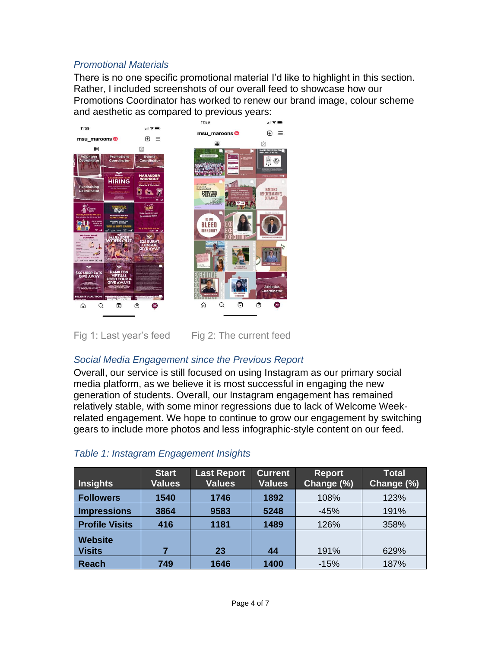### *Promotional Materials*

There is no one specific promotional material I'd like to highlight in this section. Rather, I included screenshots of our overall feed to showcase how our Promotions Coordinator has worked to renew our brand image, colour scheme and aesthetic as compared to previous years:



Fig 1: Last year's feed  $\qquad$  Fig 2: The current feed

### *Social Media Engagement since the Previous Report*

Overall, our service is still focused on using Instagram as our primary social media platform, as we believe it is most successful in engaging the new generation of students. Overall, our Instagram engagement has remained relatively stable, with some minor regressions due to lack of Welcome Weekrelated engagement. We hope to continue to grow our engagement by switching gears to include more photos and less infographic-style content on our feed.

| Insights                 | <b>Start</b><br><b>Values</b> | <b>Last Report</b><br><b>Values</b> | <b>Current</b><br><b>Values</b> | <b>Report</b><br>Change (%) | <b>Total</b><br>Change (%) |
|--------------------------|-------------------------------|-------------------------------------|---------------------------------|-----------------------------|----------------------------|
| <b>Followers</b>         | 1540                          | 1746                                | 1892                            | 108%                        | 123%                       |
| Impressions              | 3864                          | 9583                                | 5248                            | $-45%$                      | 191%                       |
| <b>Profile Visits</b>    | 416                           | 1181                                | 1489                            | 126%                        | 358%                       |
| Website<br><b>Visits</b> |                               | 23                                  | 44                              | 191%                        | 629%                       |
| Reach                    | 749                           | 1646                                | 1400                            | $-15%$                      | 187%                       |

### *Table 1: Instagram Engagement Insights*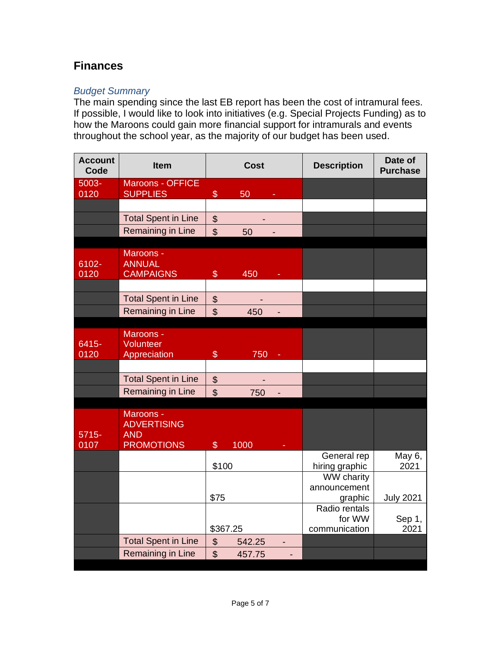# **Finances**

## *Budget Summary*

The main spending since the last EB report has been the cost of intramural fees. If possible, I would like to look into initiatives (e.g. Special Projects Funding) as to how the Maroons could gain more financial support for intramurals and events throughout the school year, as the majority of our budget has been used.

| <b>Account</b><br>Code | <b>Item</b>                                     | <b>Cost</b>                     |        | <b>Description</b> | Date of<br><b>Purchase</b>    |                  |
|------------------------|-------------------------------------------------|---------------------------------|--------|--------------------|-------------------------------|------------------|
| 5003-                  | Maroons - OFFICE                                |                                 |        |                    |                               |                  |
| 0120                   | <b>SUPPLIES</b>                                 | $\$\$                           | 50     |                    |                               |                  |
|                        | <b>Total Spent in Line</b>                      | $\boldsymbol{\mathsf{S}}$       |        |                    |                               |                  |
|                        | <b>Remaining in Line</b>                        | $\mathfrak{S}$                  | 50     |                    |                               |                  |
|                        |                                                 |                                 |        |                    |                               |                  |
|                        | Maroons -                                       |                                 |        |                    |                               |                  |
| 6102-                  | <b>ANNUAL</b>                                   |                                 |        |                    |                               |                  |
| 0120                   | <b>CAMPAIGNS</b>                                | $\mathcal{L}$                   | 450    |                    |                               |                  |
|                        |                                                 |                                 |        |                    |                               |                  |
|                        | <b>Total Spent in Line</b><br>Remaining in Line | $\frac{1}{2}$<br>$\mathfrak{S}$ |        |                    |                               |                  |
|                        |                                                 |                                 | 450    |                    |                               |                  |
|                        | Maroons -                                       |                                 |        |                    |                               |                  |
| 6415-                  | Volunteer                                       |                                 |        |                    |                               |                  |
| 0120                   | Appreciation                                    | $\$\$                           | 750    |                    |                               |                  |
|                        |                                                 |                                 |        |                    |                               |                  |
|                        | <b>Total Spent in Line</b>                      | $\boldsymbol{\mathsf{S}}$       |        |                    |                               |                  |
|                        | <b>Remaining in Line</b>                        | $\mathfrak{S}$                  | 750    |                    |                               |                  |
|                        | Maroons -                                       |                                 |        |                    |                               |                  |
|                        | <b>ADVERTISING</b>                              |                                 |        |                    |                               |                  |
| $5715 -$               | <b>AND</b>                                      |                                 |        |                    |                               |                  |
| 0107                   | <b>PROMOTIONS</b>                               | $\mathcal{S}$                   | 1000   |                    |                               |                  |
|                        |                                                 | \$100                           |        |                    | General rep<br>hiring graphic | May 6,<br>2021   |
|                        |                                                 |                                 |        |                    | WW charity                    |                  |
|                        |                                                 |                                 |        |                    | announcement                  |                  |
|                        |                                                 | \$75                            |        |                    | graphic                       | <b>July 2021</b> |
|                        |                                                 |                                 |        |                    | Radio rentals<br>for WW       |                  |
|                        |                                                 | \$367.25                        |        |                    | communication                 | Sep 1,<br>2021   |
|                        | <b>Total Spent in Line</b>                      | $\frac{1}{2}$                   | 542.25 | ٠                  |                               |                  |
|                        | Remaining in Line                               | $\mathfrak{S}$                  | 457.75 |                    |                               |                  |
|                        |                                                 |                                 |        |                    |                               |                  |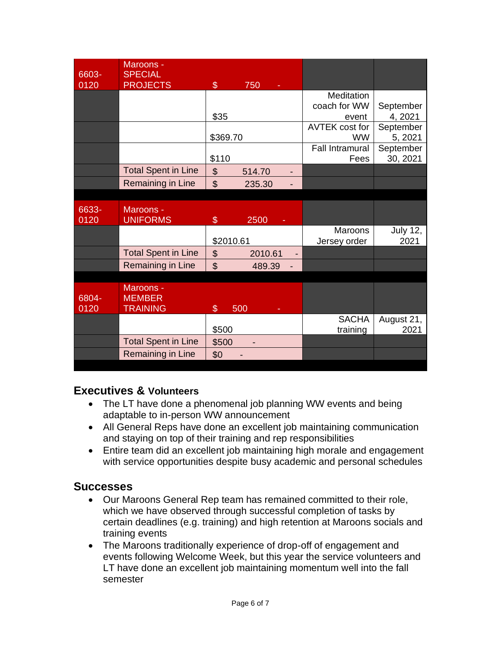| 6603- | Maroons -<br><b>SPECIAL</b> |                |         |                        |                 |
|-------|-----------------------------|----------------|---------|------------------------|-----------------|
| 0120  | <b>PROJECTS</b>             | $\mathcal{L}$  | 750     |                        |                 |
|       |                             |                |         | Meditation             |                 |
|       |                             |                |         | coach for WW           | September       |
|       |                             | \$35           |         | event                  | 4, 2021         |
|       |                             |                |         | <b>AVTEK cost for</b>  | September       |
|       |                             | \$369.70       |         | <b>WW</b>              | 5, 2021         |
|       |                             |                |         | <b>Fall Intramural</b> | September       |
|       |                             | \$110          |         | Fees                   | 30, 2021        |
|       | <b>Total Spent in Line</b>  | \$             | 514.70  |                        |                 |
|       | Remaining in Line           | $\mathfrak{L}$ | 235.30  |                        |                 |
|       |                             |                |         |                        |                 |
| 6633- | Maroons -                   |                |         |                        |                 |
| 0120  | <b>UNIFORMS</b>             | \$             | 2500    |                        |                 |
|       |                             |                |         | <b>Maroons</b>         | <b>July 12,</b> |
|       |                             | \$2010.61      |         | Jersey order           | 2021            |
|       | <b>Total Spent in Line</b>  | \$             | 2010.61 |                        |                 |
|       | Remaining in Line           | $\mathfrak{P}$ | 489.39  |                        |                 |
|       |                             |                |         |                        |                 |
|       | Maroons -                   |                |         |                        |                 |
| 6804- | <b>MEMBER</b>               |                |         |                        |                 |
| 0120  | <b>TRAINING</b>             | $\mathfrak{F}$ | 500     |                        |                 |
|       |                             |                |         | <b>SACHA</b>           | August 21,      |
|       |                             | \$500          |         | training               | 2021            |
|       | <b>Total Spent in Line</b>  | \$500          |         |                        |                 |
|       | Remaining in Line           | \$0            |         |                        |                 |

## **Executives & Volunteers**

- The LT have done a phenomenal job planning WW events and being adaptable to in-person WW announcement
- All General Reps have done an excellent job maintaining communication and staying on top of their training and rep responsibilities
- Entire team did an excellent job maintaining high morale and engagement with service opportunities despite busy academic and personal schedules

# **Successes**

- Our Maroons General Rep team has remained committed to their role, which we have observed through successful completion of tasks by certain deadlines (e.g. training) and high retention at Maroons socials and training events
- The Maroons traditionally experience of drop-off of engagement and events following Welcome Week, but this year the service volunteers and LT have done an excellent job maintaining momentum well into the fall semester